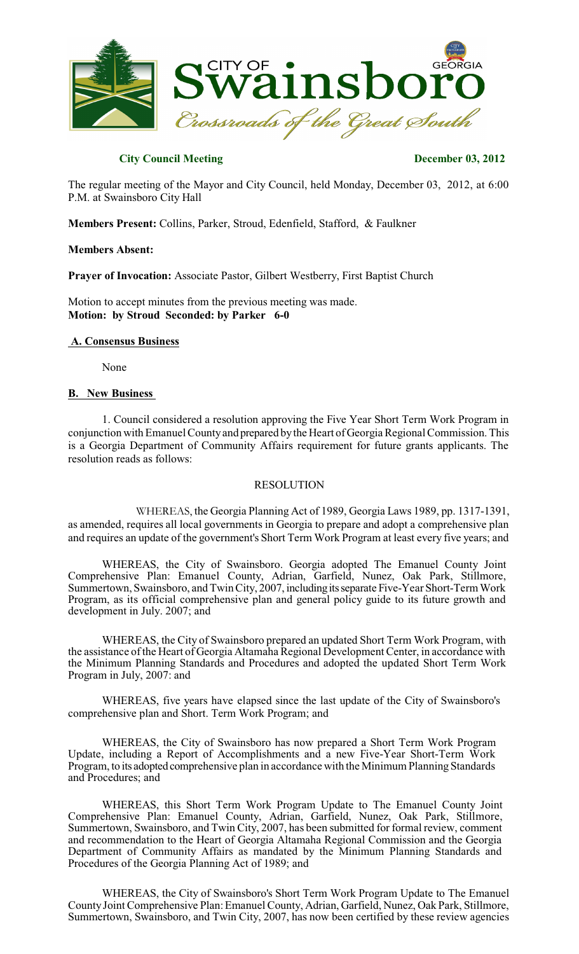

# **City Council Meeting December 03, 2012**

The regular meeting of the Mayor and City Council, held Monday, December 03, 2012, at 6:00 P.M. at Swainsboro City Hall

**Members Present:** Collins, Parker, Stroud, Edenfield, Stafford, & Faulkner

#### **Members Absent:**

**Prayer of Invocation:** Associate Pastor, Gilbert Westberry, First Baptist Church

Motion to accept minutes from the previous meeting was made. **Motion: by Stroud Seconded: by Parker 6-0**

# **A. Consensus Business**

None

#### **B. New Business**

1. Council considered a resolution approving the Five Year Short Term Work Program in conjunction with Emanuel County and prepared by the Heart of Georgia Regional Commission. This is a Georgia Department of Community Affairs requirement for future grants applicants. The resolution reads as follows:

#### RESOLUTION

WHEREAS, the Georgia Planning Act of 1989, Georgia Laws 1989, pp. 1317-1391, as amended, requires all local governments in Georgia to prepare and adopt a comprehensive plan and requires an update of the government's Short Term Work Program at least every five years; and

WHEREAS, the City of Swainsboro. Georgia adopted The Emanuel County Joint Comprehensive Plan: Emanuel County, Adrian, Garfield, Nunez, Oak Park, Stillmore, Summertown, Swainsboro, and Twin City, 2007, includingitsseparate Five-Year Short-Term Work Program, as its official comprehensive plan and general policy guide to its future growth and development in July. 2007; and

WHEREAS, the City of Swainsboro prepared an updated Short Term Work Program, with the assistance of the Heart of Georgia Altamaha Regional Development Center, in accordance with the Minimum Planning Standards and Procedures and adopted the updated Short Term Work Program in July, 2007: and

WHEREAS, five years have elapsed since the last update of the City of Swainsboro's comprehensive plan and Short. Term Work Program; and

WHEREAS, the City of Swainsboro has now prepared a Short Term Work Program Update, including a Report of Accomplishments and a new Five-Year Short-Term Work Program, to its adopted comprehensive plan in accordance with the Minimum Planning Standards and Procedures; and

WHEREAS, this Short Term Work Program Update to The Emanuel County Joint Comprehensive Plan: Emanuel County, Adrian, Garfield, Nunez, Oak Park, Stillmore, Summertown, Swainsboro, and Twin City, 2007, has been submitted for formal review, comment and recommendation to the Heart of Georgia Altamaha Regional Commission and the Georgia Department of Community Affairs as mandated by the Minimum Planning Standards and Procedures of the Georgia Planning Act of 1989; and

WHEREAS, the City of Swainsboro's Short Term Work Program Update to The Emanuel CountyJoint Comprehensive Plan:Emanuel County, Adrian, Garfield, Nunez, Oak Park, Stillmore, Summertown, Swainsboro, and Twin City, 2007, has now been certified by these review agencies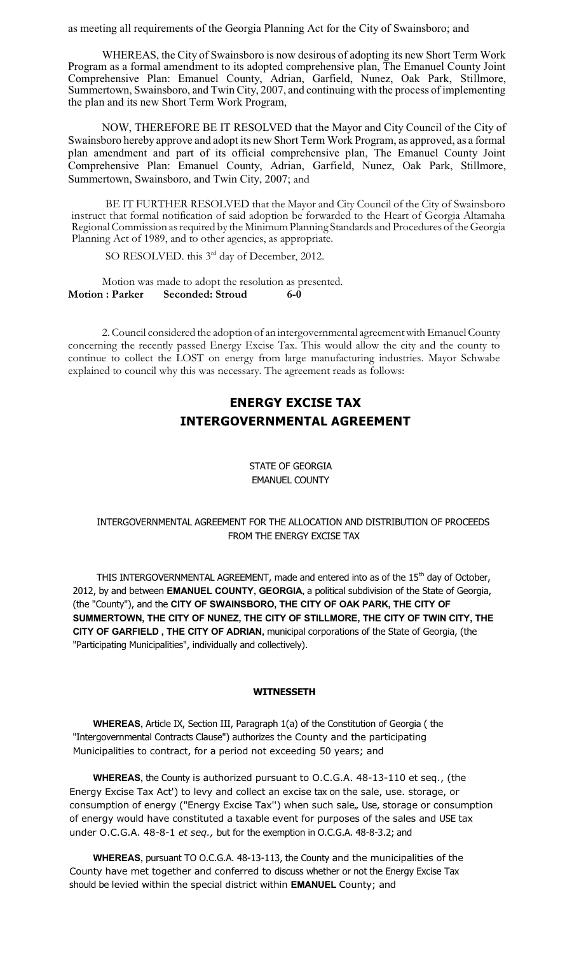as meeting all requirements of the Georgia Planning Act for the City of Swainsboro; and

WHEREAS, the City of Swainsboro is now desirous of adopting its new Short Term Work Program as a formal amendment to its adopted comprehensive plan, The Emanuel County Joint Comprehensive Plan: Emanuel County, Adrian, Garfield, Nunez, Oak Park, Stillmore, Summertown, Swainsboro, and Twin City, 2007, and continuing with the process of implementing the plan and its new Short Term Work Program,

NOW, THEREFORE BE IT RESOLVED that the Mayor and City Council of the City of Swainsboro hereby approve and adopt its new Short Term Work Program, as approved, as a formal plan amendment and part of its official comprehensive plan, The Emanuel County Joint Comprehensive Plan: Emanuel County, Adrian, Garfield, Nunez, Oak Park, Stillmore, Summertown, Swainsboro, and Twin City, 2007; and

BE IT FURTHER RESOLVED that the Mayor and City Council of the City of Swainsboro instruct that formal notification of said adoption be forwarded to the Heart of Georgia Altamaha Regional Commission as required by the Minimum Planning Standards and Procedures of the Georgia Planning Act of 1989, and to other agencies, as appropriate.

SO RESOLVED. this 3<sup>rd</sup> day of December, 2012.

Motion was made to adopt the resolution as presented. **Motion : Parker Seconded: Stroud 6-0**

2. Council considered the adoption of an intergovernmental agreement with Emanuel County concerning the recently passed Energy Excise Tax. This would allow the city and the county to continue to collect the LOST on energy from large manufacturing industries. Mayor Schwabe explained to council why this was necessary. The agreement reads as follows:

# **ENERGY EXCISE TAX INTERGOVERNMENTAL AGREEMENT**

#### STATE OF GEORGIA EMANUEL COUNTY

# INTERGOVERNMENTAL AGREEMENT FOR THE ALLOCATION AND DISTRIBUTION OF PROCEEDS FROM THE ENERGY EXCISE TAX

THIS INTERGOVERNMENTAL AGREEMENT, made and entered into as of the  $15<sup>th</sup>$  day of October, 2012, by and between **EMANUEL COUNTY, GEORGIA,** a political subdivision of the State of Georgia, (the "County"), and the **CITY OF SWAINSBORO, THE CITY OF OAK PARK, THE CITY OF SUMMERTOWN, THE CITY OF NUNEZ, THE CITY OF STILLMORE, THE CITY OF TWIN CITY, THE CITY OF GARFIELD , THE CITY OF ADRIAN,** municipal corporations of the State of Georgia, (the "Participating Municipalities", individually and collectively).

#### **WITNESSETH**

**WHEREAS,** Article IX, Section III, Paragraph 1(a) of the Constitution of Georgia ( the "Intergovernmental Contracts Clause") authorizes the County and the participating Municipalities to contract, for a period not exceeding 50 years; and

**WHEREAS,** the County is authorized pursuant to O.C.G.A. 48-13-110 et seq., (the Energy Excise Tax Act') to levy and collect an excise tax on the sale, use. storage, or consumption of energy ("Energy Excise Tax") when such sale,, Use, storage or consumption of energy would have constituted a taxable event for purposes of the sales and USE tax under O.C.G.A. 48-8-1 *et seq.,* but for the exemption in O.C.G.A. 48-8-3.2; and

**WHEREAS,** pursuant TO O.C.G.A. 48-13-113, the County and the municipalities of the County have met together and conferred to discuss whether or not the Energy Excise Tax should be levied within the special district within **EMANUEL** County; and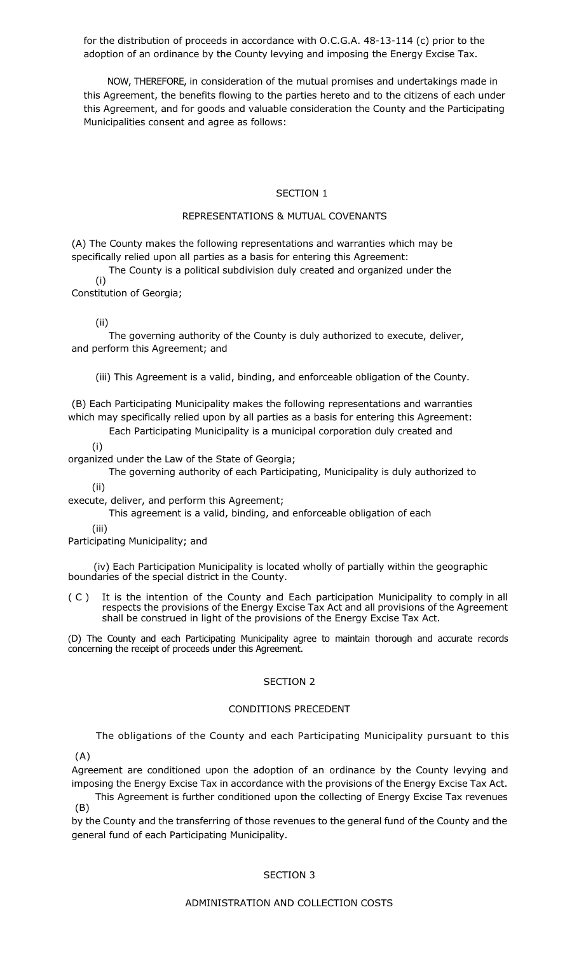for the distribution of proceeds in accordance with O.C.G.A. 48-13-114 (c) prior to the adoption of an ordinance by the County levying and imposing the Energy Excise Tax.

NOW, THEREFORE, in consideration of the mutual promises and undertakings made in this Agreement, the benefits flowing to the parties hereto and to the citizens of each under this Agreement, and for goods and valuable consideration the County and the Participating Municipalities consent and agree as follows:

#### SECTION 1

#### REPRESENTATIONS & MUTUAL COVENANTS

(A) The County makes the following representations and warranties which may be specifically relied upon all parties as a basis for entering this Agreement:

 $(i)$ The County is a political subdivision duly created and organized under the

Constitution of Georgia;

(ii)

The governing authority of the County is duly authorized to execute, deliver, and perform this Agreement; and

(iii) This Agreement is a valid, binding, and enforceable obligation of the County.

(B) Each Participating Municipality makes the following representations and warranties which may specifically relied upon by all parties as a basis for entering this Agreement:

Each Participating Municipality is a municipal corporation duly created and

(i)

organized under the Law of the State of Georgia;

The governing authority of each Participating, Municipality is duly authorized to

(ii)

execute, deliver, and perform this Agreement;

This agreement is a valid, binding, and enforceable obligation of each

(iii)

Participating Municipality; and

(iv) Each Participation Municipality is located wholly of partially within the geographic boundaries of the special district in the County.

( C ) It is the intention of the County and Each participation Municipality to comply in all respects the provisions of the Energy Excise Tax Act and all provisions of the Agreement shall be construed in light of the provisions of the Energy Excise Tax Act.

(D) The County and each Participating Municipality agree to maintain thorough and accurate records concerning the receipt of proceeds under this Agreement.

#### SECTION 2

#### CONDITIONS PRECEDENT

The obligations of the County and each Participating Municipality pursuant to this

(A)

Agreement are conditioned upon the adoption of an ordinance by the County levying and imposing the Energy Excise Tax in accordance with the provisions of the Energy Excise Tax Act.

(B) This Agreement is further conditioned upon the collecting of Energy Excise Tax revenues

by the County and the transferring of those revenues to the general fund of the County and the general fund of each Participating Municipality.

#### SECTION 3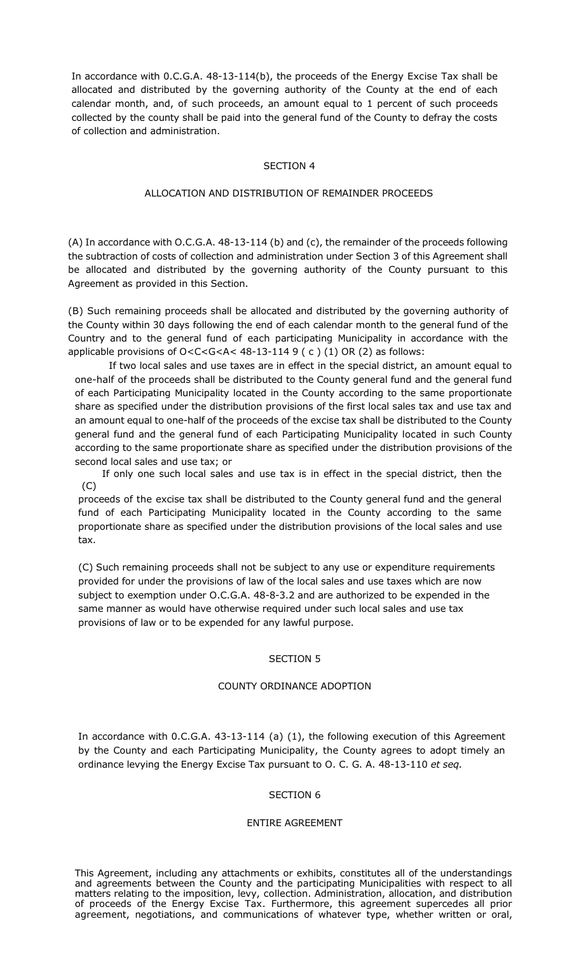In accordance with 0.C.G.A. 48-13-114(b), the proceeds of the Energy Excise Tax shall be allocated and distributed by the governing authority of the County at the end of each calendar month, and, of such proceeds, an amount equal to 1 percent of such proceeds collected by the county shall be paid into the general fund of the County to defray the costs of collection and administration.

#### SECTION 4

# ALLOCATION AND DISTRIBUTION OF REMAINDER PROCEEDS

(A) In accordance with O.C.G.A. 48-13-114 (b) and (c), the remainder of the proceeds following the subtraction of costs of collection and administration under Section 3 of this Agreement shall be allocated and distributed by the governing authority of the County pursuant to this Agreement as provided in this Section.

(B) Such remaining proceeds shall be allocated and distributed by the governing authority of the County within 30 days following the end of each calendar month to the general fund of the Country and to the general fund of each participating Municipality in accordance with the applicable provisions of O<C<G<A< 48-13-114 9 ( c ) (1) OR (2) as follows:

If two local sales and use taxes are in effect in the special district, an amount equal to one-half of the proceeds shall be distributed to the County general fund and the general fund of each Participating Municipality located in the County according to the same proportionate share as specified under the distribution provisions of the first local sales tax and use tax and an amount equal to one-half of the proceeds of the excise tax shall be distributed to the County general fund and the general fund of each Participating Municipality located in such County according to the same proportionate share as specified under the distribution provisions of the second local sales and use tax; or

(C) If only one such local sales and use tax is in effect in the special district, then the

proceeds of the excise tax shall be distributed to the County general fund and the general fund of each Participating Municipality located in the County according to the same proportionate share as specified under the distribution provisions of the local sales and use tax.

(C) Such remaining proceeds shall not be subject to any use or expenditure requirements provided for under the provisions of law of the local sales and use taxes which are now subject to exemption under O.C.G.A. 48-8-3.2 and are authorized to be expended in the same manner as would have otherwise required under such local sales and use tax provisions of law or to be expended for any lawful purpose.

#### SECTION 5

#### COUNTY ORDINANCE ADOPTION

In accordance with 0.C.G.A. 43-13-114 (a) (1), the following execution of this Agreement by the County and each Participating Municipality, the County agrees to adopt timely an ordinance levying the Energy Excise Tax pursuant to O. C. G. A. 48-13-110 *et seq.*

# SECTION 6

#### ENTIRE AGREEMENT

This Agreement, including any attachments or exhibits, constitutes all of the understandings and agreements between the County and the participating Municipalities with respect to all matters relating to the imposition, levy, collection. Administration, allocation, and distribution of proceeds of the Energy Excise Tax. Furthermore, this agreement supercedes all prior agreement, negotiations, and communications of whatever type, whether written or oral,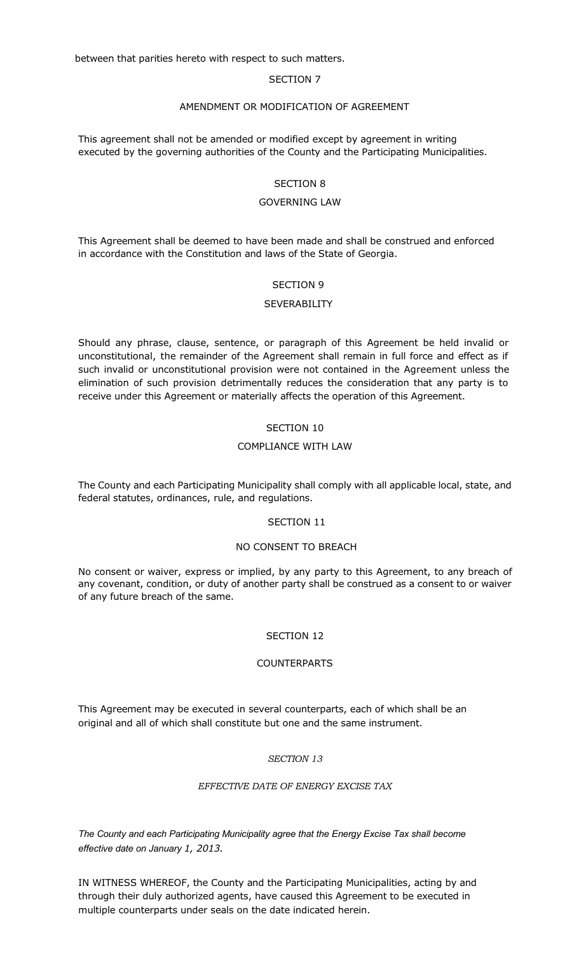between that parities hereto with respect to such matters.

#### SECTION 7

#### AMENDMENT OR MODIFICATION OF AGREEMENT

This agreement shall not be amended or modified except by agreement in writing executed by the governing authorities of the County and the Participating Municipalities.

#### SECTION 8

# GOVERNING LAW

This Agreement shall be deemed to have been made and shall be construed and enforced in accordance with the Constitution and laws of the State of Georgia.

#### SECTION 9

#### **SEVERABILITY**

Should any phrase, clause, sentence, or paragraph of this Agreement be held invalid or unconstitutional, the remainder of the Agreement shall remain in full force and effect as if such invalid or unconstitutional provision were not contained in the Agreement unless the elimination of such provision detrimentally reduces the consideration that any party is to receive under this Agreement or materially affects the operation of this Agreement.

# SECTION 10

## COMPLIANCE WITH LAW

The County and each Participating Municipality shall comply with all applicable local, state, and federal statutes, ordinances, rule, and regulations.

#### SECTION 11

#### NO CONSENT TO BREACH

No consent or waiver, express or implied, by any party to this Agreement, to any breach of any covenant, condition, or duty of another party shall be construed as a consent to or waiver of any future breach of the same.

# SECTION 12

# **COUNTERPARTS**

This Agreement may be executed in several counterparts, each of which shall be an original and all of which shall constitute but one and the same instrument.

#### *SECTION 13*

# *EFFECTIVE DATE OF ENERGY EXCISE TAX*

*The County and each Participating Municipality agree that the Energy Excise Tax shall become effective date on January 1, 2013.*

IN WITNESS WHEREOF, the County and the Participating Municipalities, acting by and through their duly authorized agents, have caused this Agreement to be executed in multiple counterparts under seals on the date indicated herein.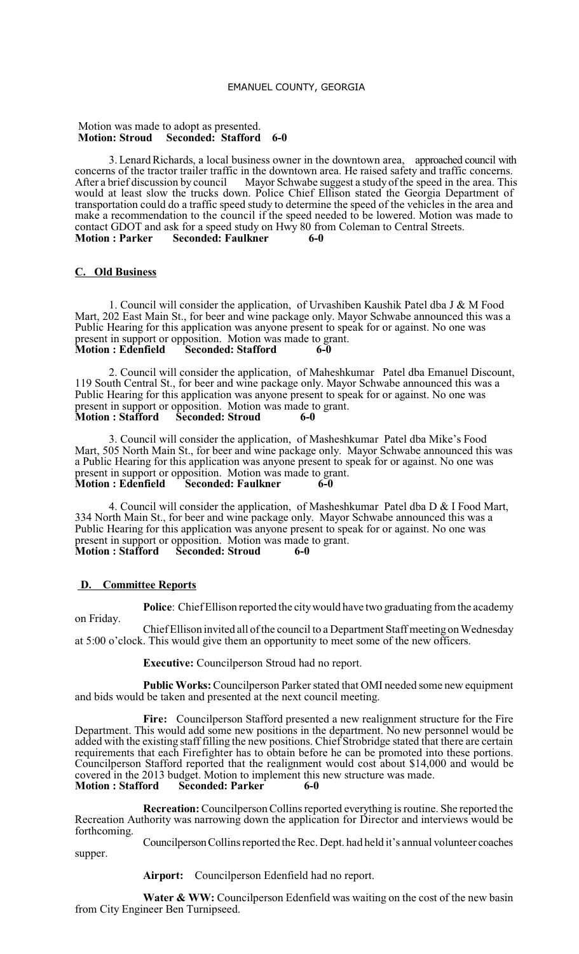#### EMANUEL COUNTY, GEORGIA

#### Motion was made to adopt as presented. **Motion: Stroud Seconded: Stafford 6-0**

3. Lenard Richards, a local business owner in the downtown area, approached council with concerns of the tractor trailer traffic in the downtown area. He raised safety and traffic concerns.<br>After a brief discussion by council Mayor Schwabe suggest a study of the speed in the area. This Mayor Schwabe suggest a study of the speed in the area. This would at least slow the trucks down. Police Chief Ellison stated the Georgia Department of transportation could do a traffic speed study to determine the speed of the vehicles in the area and make a recommendation to the council if the speed needed to be lowered. Motion was made to contact GDOT and ask for a speed study on Hwy 80 from Coleman to Central Streets.<br>Motion: Parker Seconded: Faulkner 6-0 **Seconded: Faulkner** 

# **C. Old Business**

1. Council will consider the application, of Urvashiben Kaushik Patel dba J & M Food Mart, 202 East Main St., for beer and wine package only. Mayor Schwabe announced this was a Public Hearing for this application was anyone present to speak for or against. No one was present in support or opposition. Motion was made to grant.<br>Motion : Edenfield Seconded: Stafford 6-0 **Seconded: Stafford** 

2. Council will consider the application, of Maheshkumar Patel dba Emanuel Discount, 119 South Central St., for beer and wine package only. Mayor Schwabe announced this was a Public Hearing for this application was anyone present to speak for or against. No one was present in support or opposition. Motion was made to grant.<br>Motion : Stafford Seconded: Stroud 6-0 **Seconded: Stroud 6-0** 

3. Council will consider the application, of Masheshkumar Patel dba Mike's Food Mart, 505 North Main St., for beer and wine package only. Mayor Schwabe announced this was a Public Hearing for this application was anyone present to speak for or against. No one was present in support or opposition. Motion was made to grant.<br>**Motion: Edenfield Seconded: Faulkner 6-0 Motion Example 1 Equilence E** 

4. Council will consider the application, of Masheshkumar Patel dba D & I Food Mart, 334 North Main St., for beer and wine package only. Mayor Schwabe announced this was a Public Hearing for this application was anyone present to speak for or against. No one was present in support or opposition. Motion was made to grant. **Motion : Stafford Seconded: Stroud 6-0**

#### **D. Committee Reports**

**Police**: Chief Ellison reported the citywould have two graduating from the academy

on Friday. Chief Ellison invited all of the council to a Department Staff meeting on Wednesday at 5:00 o'clock. This would give them an opportunity to meet some of the new officers.

**Executive:** Councilperson Stroud had no report.

**Public Works:**Councilperson Parker stated that OMI needed some new equipment and bids would be taken and presented at the next council meeting.

**Fire:** Councilperson Stafford presented a new realignment structure for the Fire Department. This would add some new positions in the department. No new personnel would be added with the existing staff filling the new positions. Chief Strobridge stated that there are certain requirements that each Firefighter has to obtain before he can be promoted into these portions. Councilperson Stafford reported that the realignment would cost about \$14,000 and would be covered in the 2013 budget. Motion to implement this new structure was made.<br>Motion: Stafford Seconded: Parker 6-0  $S\acute{e}$  **seconded: Parker** 

**Recreation:**Councilperson Collinsreported everything isroutine. She reported the Recreation Authority was narrowing down the application for Director and interviews would be forthcoming.

CouncilpersonCollinsreported theRec. Dept. had held it's annual volunteer coaches supper.

**Airport:** Councilperson Edenfield had no report.

**Water & WW:** Councilperson Edenfield was waiting on the cost of the new basin from City Engineer Ben Turnipseed.